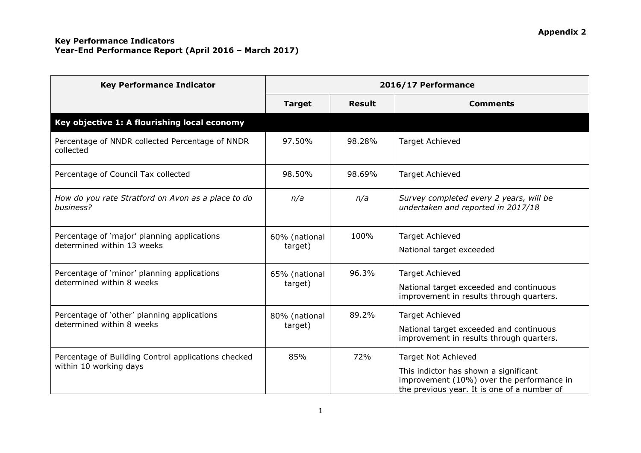# **Appendix 2**

| <b>Key Performance Indicator</b>                                              | 2016/17 Performance      |               |                                                                                                                                                                 |
|-------------------------------------------------------------------------------|--------------------------|---------------|-----------------------------------------------------------------------------------------------------------------------------------------------------------------|
|                                                                               | <b>Target</b>            | <b>Result</b> | <b>Comments</b>                                                                                                                                                 |
| Key objective 1: A flourishing local economy                                  |                          |               |                                                                                                                                                                 |
| Percentage of NNDR collected Percentage of NNDR<br>collected                  | 97.50%                   | 98.28%        | <b>Target Achieved</b>                                                                                                                                          |
| Percentage of Council Tax collected                                           | 98.50%                   | 98.69%        | <b>Target Achieved</b>                                                                                                                                          |
| How do you rate Stratford on Avon as a place to do<br>business?               | n/a                      | n/a           | Survey completed every 2 years, will be<br>undertaken and reported in 2017/18                                                                                   |
| Percentage of 'major' planning applications<br>determined within 13 weeks     | 60% (national<br>target) | 100%          | <b>Target Achieved</b><br>National target exceeded                                                                                                              |
| Percentage of 'minor' planning applications<br>determined within 8 weeks      | 65% (national<br>target) | 96.3%         | <b>Target Achieved</b><br>National target exceeded and continuous<br>improvement in results through quarters.                                                   |
| Percentage of 'other' planning applications<br>determined within 8 weeks      | 80% (national<br>target) | 89.2%         | <b>Target Achieved</b><br>National target exceeded and continuous<br>improvement in results through quarters.                                                   |
| Percentage of Building Control applications checked<br>within 10 working days | 85%                      | 72%           | <b>Target Not Achieved</b><br>This indictor has shown a significant<br>improvement (10%) over the performance in<br>the previous year. It is one of a number of |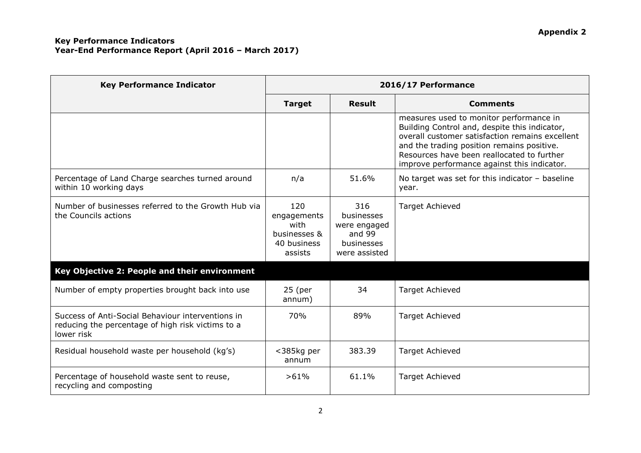| <b>Key Performance Indicator</b>                                                                                     | 2016/17 Performance                                                  |                                                                            |                                                                                                                                                                                                                                                                                        |
|----------------------------------------------------------------------------------------------------------------------|----------------------------------------------------------------------|----------------------------------------------------------------------------|----------------------------------------------------------------------------------------------------------------------------------------------------------------------------------------------------------------------------------------------------------------------------------------|
|                                                                                                                      | <b>Target</b>                                                        | <b>Result</b>                                                              | <b>Comments</b>                                                                                                                                                                                                                                                                        |
|                                                                                                                      |                                                                      |                                                                            | measures used to monitor performance in<br>Building Control and, despite this indicator,<br>overall customer satisfaction remains excellent<br>and the trading position remains positive.<br>Resources have been reallocated to further<br>improve performance against this indicator. |
| Percentage of Land Charge searches turned around<br>within 10 working days                                           | n/a                                                                  | 51.6%                                                                      | No target was set for this indicator $-$ baseline<br>year.                                                                                                                                                                                                                             |
| Number of businesses referred to the Growth Hub via<br>the Councils actions                                          | 120<br>engagements<br>with<br>businesses &<br>40 business<br>assists | 316<br>businesses<br>were engaged<br>and 99<br>businesses<br>were assisted | <b>Target Achieved</b>                                                                                                                                                                                                                                                                 |
| Key Objective 2: People and their environment                                                                        |                                                                      |                                                                            |                                                                                                                                                                                                                                                                                        |
| Number of empty properties brought back into use                                                                     | 25 (per<br>annum)                                                    | 34                                                                         | <b>Target Achieved</b>                                                                                                                                                                                                                                                                 |
| Success of Anti-Social Behaviour interventions in<br>reducing the percentage of high risk victims to a<br>lower risk | 70%                                                                  | 89%                                                                        | <b>Target Achieved</b>                                                                                                                                                                                                                                                                 |
| Residual household waste per household (kg's)                                                                        | <385kg per<br>annum                                                  | 383.39                                                                     | <b>Target Achieved</b>                                                                                                                                                                                                                                                                 |
| Percentage of household waste sent to reuse,<br>recycling and composting                                             | >61%                                                                 | 61.1%                                                                      | <b>Target Achieved</b>                                                                                                                                                                                                                                                                 |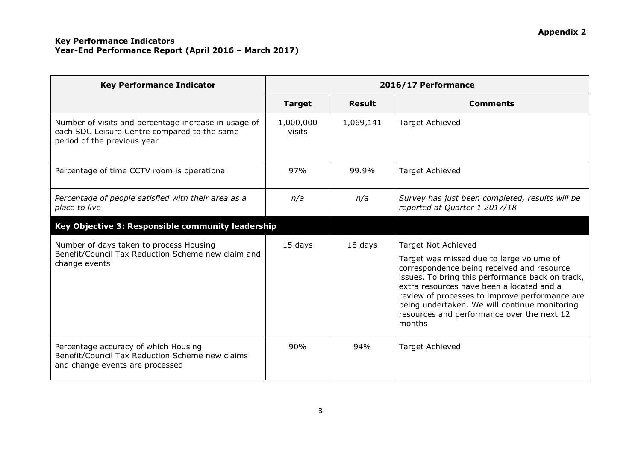| <b>Key Performance Indicator</b>                                                                                                    | 2016/17 Performance                               |               |                                                                                                                                                                                                                                                                                                                                                                                  |  |  |
|-------------------------------------------------------------------------------------------------------------------------------------|---------------------------------------------------|---------------|----------------------------------------------------------------------------------------------------------------------------------------------------------------------------------------------------------------------------------------------------------------------------------------------------------------------------------------------------------------------------------|--|--|
|                                                                                                                                     | <b>Target</b>                                     | <b>Result</b> | <b>Comments</b>                                                                                                                                                                                                                                                                                                                                                                  |  |  |
| Number of visits and percentage increase in usage of<br>each SDC Leisure Centre compared to the same<br>period of the previous year | 1,000,000<br>visits                               | 1,069,141     | <b>Target Achieved</b>                                                                                                                                                                                                                                                                                                                                                           |  |  |
| Percentage of time CCTV room is operational                                                                                         | 97%                                               | 99.9%         | <b>Target Achieved</b>                                                                                                                                                                                                                                                                                                                                                           |  |  |
| Percentage of people satisfied with their area as a<br>place to live                                                                | n/a                                               | n/a           | Survey has just been completed, results will be<br>reported at Quarter 1 2017/18                                                                                                                                                                                                                                                                                                 |  |  |
|                                                                                                                                     | Key Objective 3: Responsible community leadership |               |                                                                                                                                                                                                                                                                                                                                                                                  |  |  |
| Number of days taken to process Housing<br>Benefit/Council Tax Reduction Scheme new claim and<br>change events                      | 15 days                                           | 18 days       | <b>Target Not Achieved</b><br>Target was missed due to large volume of<br>correspondence being received and resource<br>issues. To bring this performance back on track,<br>extra resources have been allocated and a<br>review of processes to improve performance are<br>being undertaken. We will continue monitoring<br>resources and performance over the next 12<br>months |  |  |
| Percentage accuracy of which Housing<br>Benefit/Council Tax Reduction Scheme new claims<br>and change events are processed          | 90%                                               | 94%           | <b>Target Achieved</b>                                                                                                                                                                                                                                                                                                                                                           |  |  |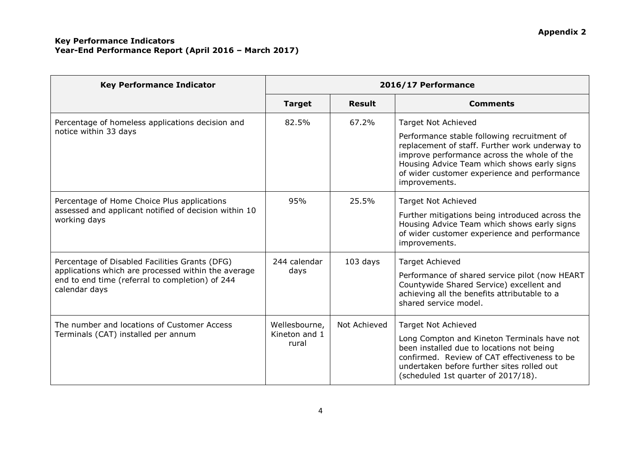| <b>Key Performance Indicator</b>                                                                                                                                          | 2016/17 Performance                     |               |                                                                                                                                                                                                                                                                                            |
|---------------------------------------------------------------------------------------------------------------------------------------------------------------------------|-----------------------------------------|---------------|--------------------------------------------------------------------------------------------------------------------------------------------------------------------------------------------------------------------------------------------------------------------------------------------|
|                                                                                                                                                                           | <b>Target</b>                           | <b>Result</b> | <b>Comments</b>                                                                                                                                                                                                                                                                            |
| Percentage of homeless applications decision and<br>notice within 33 days                                                                                                 | 82.5%                                   | 67.2%         | <b>Target Not Achieved</b><br>Performance stable following recruitment of<br>replacement of staff. Further work underway to<br>improve performance across the whole of the<br>Housing Advice Team which shows early signs<br>of wider customer experience and performance<br>improvements. |
| Percentage of Home Choice Plus applications<br>assessed and applicant notified of decision within 10<br>working days                                                      | 95%                                     | 25.5%         | <b>Target Not Achieved</b><br>Further mitigations being introduced across the<br>Housing Advice Team which shows early signs<br>of wider customer experience and performance<br>improvements.                                                                                              |
| Percentage of Disabled Facilities Grants (DFG)<br>applications which are processed within the average<br>end to end time (referral to completion) of 244<br>calendar days | 244 calendar<br>days                    | $103$ days    | <b>Target Achieved</b><br>Performance of shared service pilot (now HEART<br>Countywide Shared Service) excellent and<br>achieving all the benefits attributable to a<br>shared service model.                                                                                              |
| The number and locations of Customer Access<br>Terminals (CAT) installed per annum                                                                                        | Wellesbourne,<br>Kineton and 1<br>rural | Not Achieved  | <b>Target Not Achieved</b><br>Long Compton and Kineton Terminals have not<br>been installed due to locations not being<br>confirmed. Review of CAT effectiveness to be<br>undertaken before further sites rolled out<br>(scheduled 1st quarter of 2017/18).                                |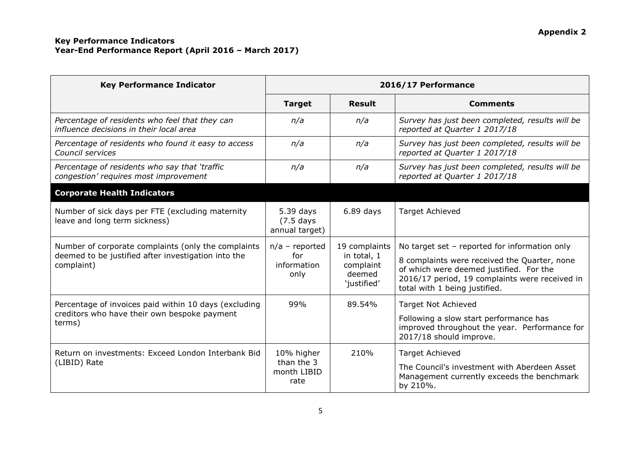| <b>Key Performance Indicator</b>                                                                                         | 2016/17 Performance                             |                                                                    |                                                                                                                                                                                                                             |
|--------------------------------------------------------------------------------------------------------------------------|-------------------------------------------------|--------------------------------------------------------------------|-----------------------------------------------------------------------------------------------------------------------------------------------------------------------------------------------------------------------------|
|                                                                                                                          | <b>Target</b>                                   | <b>Result</b>                                                      | <b>Comments</b>                                                                                                                                                                                                             |
| Percentage of residents who feel that they can<br>influence decisions in their local area                                | n/a                                             | n/a                                                                | Survey has just been completed, results will be<br>reported at Quarter 1 2017/18                                                                                                                                            |
| Percentage of residents who found it easy to access<br>Council services                                                  | n/a                                             | n/a                                                                | Survey has just been completed, results will be<br>reported at Quarter 1 2017/18                                                                                                                                            |
| Percentage of residents who say that 'traffic<br>congestion' requires most improvement                                   | n/a                                             | n/a                                                                | Survey has just been completed, results will be<br>reported at Quarter 1 2017/18                                                                                                                                            |
| <b>Corporate Health Indicators</b>                                                                                       |                                                 |                                                                    |                                                                                                                                                                                                                             |
| Number of sick days per FTE (excluding maternity<br>leave and long term sickness)                                        | 5.39 days<br>$(7.5$ days<br>annual target)      | $6.89$ days                                                        | <b>Target Achieved</b>                                                                                                                                                                                                      |
| Number of corporate complaints (only the complaints<br>deemed to be justified after investigation into the<br>complaint) | $n/a$ - reported<br>for<br>information<br>only  | 19 complaints<br>in total, 1<br>complaint<br>deemed<br>'justified' | No target set - reported for information only<br>8 complaints were received the Quarter, none<br>of which were deemed justified. For the<br>2016/17 period, 19 complaints were received in<br>total with 1 being justified. |
| Percentage of invoices paid within 10 days (excluding<br>creditors who have their own bespoke payment<br>terms)          | 99%                                             | 89.54%                                                             | <b>Target Not Achieved</b><br>Following a slow start performance has<br>improved throughout the year. Performance for<br>2017/18 should improve.                                                                            |
| Return on investments: Exceed London Interbank Bid<br>(LIBID) Rate                                                       | 10% higher<br>than the 3<br>month LIBID<br>rate | 210%                                                               | <b>Target Achieved</b><br>The Council's investment with Aberdeen Asset<br>Management currently exceeds the benchmark<br>by 210%.                                                                                            |